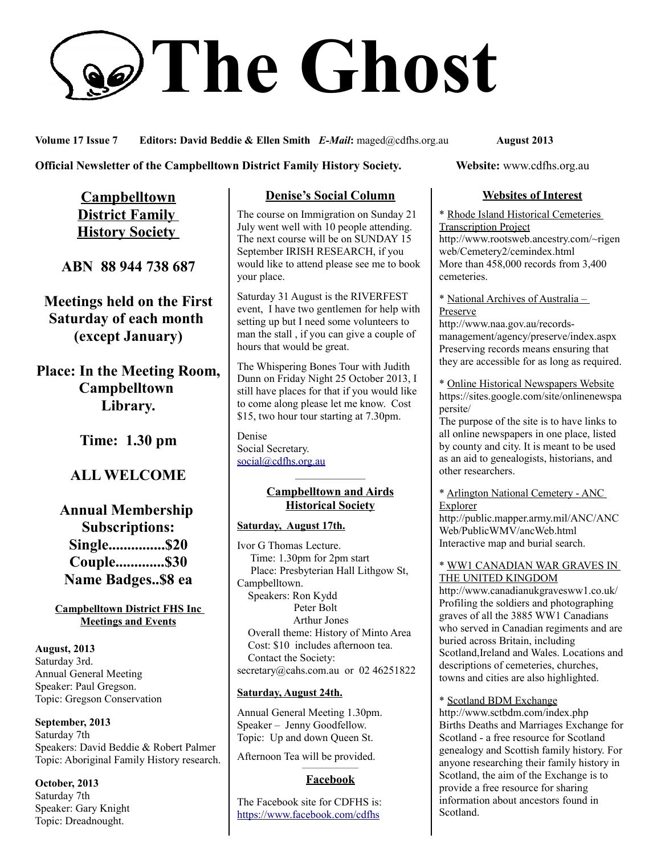# **The Ghost**

**Volume 17 Issue 7 Editors: David Beddie & Ellen Smith** *E-Mail***:** maged@cdfhs.org.au **August 2013**

#### **Official Newsletter of the Campbelltown District Family History Society. Website: www.cdfhs.org.au**

**Campbelltown District Family History Society** 

**ABN 88 944 738 687**

**Meetings held on the First Saturday of each month (except January)**

**Place: In the Meeting Room, Campbelltown Library.**

**Time: 1.30 pm**

# **ALL WELCOME**

**Annual Membership Subscriptions: Single...............\$20 Couple.............\$30 Name Badges..\$8 ea**

**Campbelltown District FHS Inc Meetings and Events**

**August, 2013** Saturday 3rd. Annual General Meeting Speaker: Paul Gregson. Topic: Gregson Conservation

**September, 2013** Saturday 7th Speakers: David Beddie & Robert Palmer Topic: Aboriginal Family History research.

**October, 2013** Saturday 7th Speaker: Gary Knight Topic: Dreadnought.

# **Denise's Social Column**

The course on Immigration on Sunday 21 July went well with 10 people attending. The next course will be on SUNDAY 15 September IRISH RESEARCH, if you would like to attend please see me to book your place.

Saturday 31 August is the RIVERFEST event, I have two gentlemen for help with setting up but I need some volunteers to man the stall , if you can give a couple of hours that would be great.

The Whispering Bones Tour with Judith Dunn on Friday Night 25 October 2013, I still have places for that if you would like to come along please let me know. Cost \$15, two hour tour starting at 7.30pm.

Denise Social Secretary. [social@cdfhs.org.au](mailto:social@cdfhs.org.au)

#### ——————– **Campbelltown and Airds Historical Society**

#### **Saturday, August 17th.**

Ivor G Thomas Lecture. Time: 1.30pm for 2pm start Place: Presbyterian Hall Lithgow St, Campbelltown. Speakers: Ron Kydd Peter Bolt Arthur Jones Overall theme: History of Minto Area Cost: \$10 includes afternoon tea. Contact the Society: secretary@cahs.com.au or 02 46251822

#### **Saturday, August 24th.**

Annual General Meeting 1.30pm. Speaker – Jenny Goodfellow. Topic: Up and down Queen St.

Afternoon Tea will be provided.

#### ——————– **Facebook**

The Facebook site for CDFHS is: <https://www.facebook.com/cdfhs>

### **Websites of Interest**

\* Rhode Island Historical Cemeteries Transcription Project http://www.rootsweb.ancestry.com/~rigen web/Cemetery2/cemindex.html More than 458,000 records from 3,400 cemeteries.

\* National Archives of Australia – Preserve

http://www.naa.gov.au/recordsmanagement/agency/preserve/index.aspx Preserving records means ensuring that they are accessible for as long as required.

\* Online Historical Newspapers Website https://sites.google.com/site/onlinenewspa persite/

The purpose of the site is to have links to all online newspapers in one place, listed by county and city. It is meant to be used as an aid to genealogists, historians, and other researchers.

#### \* Arlington National Cemetery - ANC Explorer

http://public.mapper.army.mil/ANC/ANC Web/PublicWMV/ancWeb.html Interactive map and burial search.

#### \* WW1 CANADIAN WAR GRAVES IN THE UNITED KINGDOM

http://www.canadianukgravesww1.co.uk/ Profiling the soldiers and photographing graves of all the 3885 WW1 Canadians who served in Canadian regiments and are buried across Britain, including Scotland,Ireland and Wales. Locations and descriptions of cemeteries, churches, towns and cities are also highlighted.

\* Scotland BDM Exchange

http://www.sctbdm.com/index.php Births Deaths and Marriages Exchange for Scotland - a free resource for Scotland genealogy and Scottish family history. For anyone researching their family history in Scotland, the aim of the Exchange is to provide a free resource for sharing information about ancestors found in Scotland.